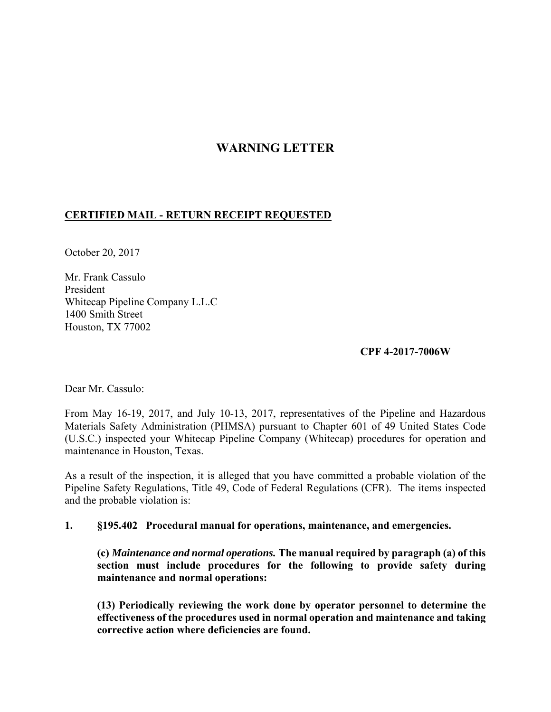## **WARNING LETTER**

## **CERTIFIED MAIL - RETURN RECEIPT REQUESTED**

October 20, 2017

Mr. Frank Cassulo President Whitecap Pipeline Company L.L.C 1400 Smith Street Houston, TX 77002

## **CPF 4-2017-7006W**

Dear Mr. Cassulo:

 Materials Safety Administration (PHMSA) pursuant to Chapter 601 of 49 United States Code From May 16-19, 2017, and July 10-13, 2017, representatives of the Pipeline and Hazardous (U.S.C.) inspected your Whitecap Pipeline Company (Whitecap) procedures for operation and maintenance in Houston, Texas.

 Pipeline Safety Regulations, Title 49, Code of Federal Regulations (CFR). The items inspected As a result of the inspection, it is alleged that you have committed a probable violation of the and the probable violation is:

## **1. §195.402 Procedural manual for operations, maintenance, and emergencies.**

**(c)** *Maintenance and normal operations.* **The manual required by paragraph (a) of this section must include procedures for the following to provide safety during maintenance and normal operations:** 

**(13) Periodically reviewing the work done by operator personnel to determine the effectiveness of the procedures used in normal operation and maintenance and taking corrective action where deficiencies are found.**